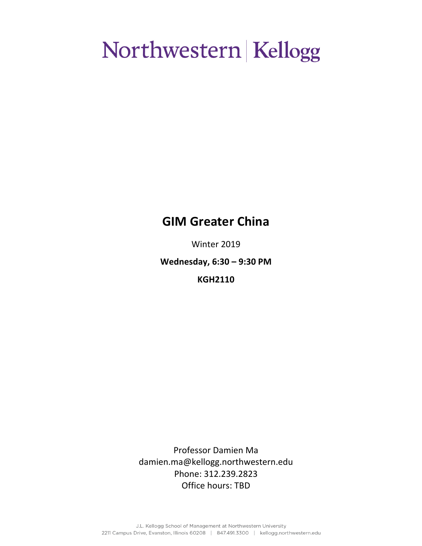### **GIM Greater China**

Winter 2019

**Wednesday, 6:30 – 9:30 PM**

**KGH2110**

Professor Damien Ma damien.ma@kellogg.northwestern.edu Phone: 312.239.2823 Office hours: TBD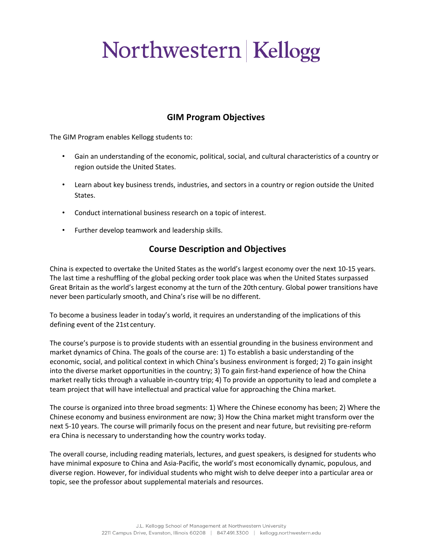### **GIM Program Objectives**

The GIM Program enables Kellogg students to:

- Gain an understanding of the economic, political, social, and cultural characteristics of a country or region outside the United States.
- Learn about key business trends, industries, and sectors in a country or region outside the United States.
- Conduct international business research on a topic of interest.
- Further develop teamwork and leadership skills.

### **Course Description and Objectives**

China is expected to overtake the United States as the world's largest economy over the next 10-15 years. The last time a reshuffling of the global pecking order took place was when the United States surpassed Great Britain as the world's largest economy at the turn of the 20th century. Global power transitions have never been particularly smooth, and China's rise will be no different.

To become a business leader in today's world, it requires an understanding of the implications of this defining event of the 21st century.

The course's purpose is to provide students with an essential grounding in the business environment and market dynamics of China. The goals of the course are: 1) To establish a basic understanding of the economic, social, and political context in which China's business environment is forged; 2) To gain insight into the diverse market opportunities in the country; 3) To gain first-hand experience of how the China market really ticks through a valuable in-country trip; 4) To provide an opportunity to lead and complete a team project that will have intellectual and practical value for approaching the China market.

The course is organized into three broad segments: 1) Where the Chinese economy has been; 2) Where the Chinese economy and business environment are now; 3) How the China market might transform over the next 5-10 years. The course will primarily focus on the present and near future, but revisiting pre-reform era China is necessary to understanding how the country works today.

The overall course, including reading materials, lectures, and guest speakers, is designed for students who have minimal exposure to China and Asia-Pacific, the world's most economically dynamic, populous, and diverse region. However, for individual students who might wish to delve deeper into a particular area or topic, see the professor about supplemental materials and resources.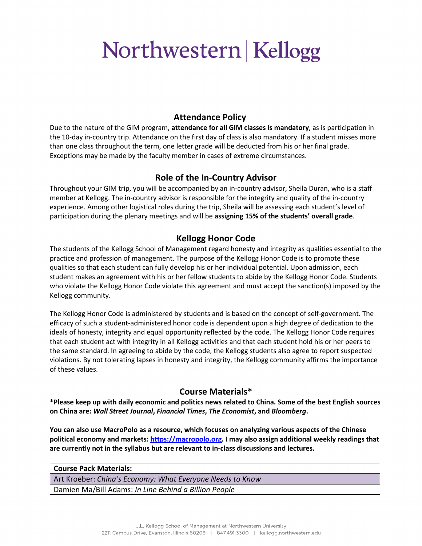### **Attendance Policy**

Due to the nature of the GIM program, **attendance for all GIM classes is mandatory**, as is participation in the 10-day in-country trip. Attendance on the first day of class is also mandatory. If a student misses more than one class throughout the term, one letter grade will be deducted from his or her final grade. Exceptions may be made by the faculty member in cases of extreme circumstances.

### **Role of the In-Country Advisor**

Throughout your GIM trip, you will be accompanied by an in-country advisor, Sheila Duran, who is a staff member at Kellogg. The in-country advisor is responsible for the integrity and quality of the in-country experience. Among other logistical roles during the trip, Sheila will be assessing each student's level of participation during the plenary meetings and will be **assigning 15% of the students' overall grade**.

### **Kellogg Honor Code**

The students of the Kellogg School of Management regard honesty and integrity as qualities essential to the practice and profession of management. The purpose of the Kellogg Honor Code is to promote these qualities so that each student can fully develop his or her individual potential. Upon admission, each student makes an agreement with his or her fellow students to abide by the Kellogg Honor Code. Students who violate the Kellogg Honor Code violate this agreement and must accept the sanction(s) imposed by the Kellogg community.

The Kellogg Honor Code is administered by students and is based on the concept of self-government. The efficacy of such a student-administered honor code is dependent upon a high degree of dedication to the ideals of honesty, integrity and equal opportunity reflected by the code. The Kellogg Honor Code requires that each student act with integrity in all Kellogg activities and that each student hold his or her peers to the same standard. In agreeing to abide by the code, the Kellogg students also agree to report suspected violations. By not tolerating lapses in honesty and integrity, the Kellogg community affirms the importance of these values.

### **Course Materials\***

**\*Please keep up with daily economic and politics news related to China. Some of the best English sources on China are:** *Wall Street Journal***,** *Financial Times***,** *The Economist***, and** *Bloomberg***.**

**You can also use MacroPolo as a resource, which focuses on analyzing various aspects of the Chinese political economy and markets: https://macropolo.org. I may also assign additional weekly readings that are currently not in the syllabus but are relevant to in-class discussions and lectures.** 

**Course Pack Materials:**

Art Kroeber: *China's Economy: What Everyone Needs to Know* Damien Ma/Bill Adams: *In Line Behind a Billion People*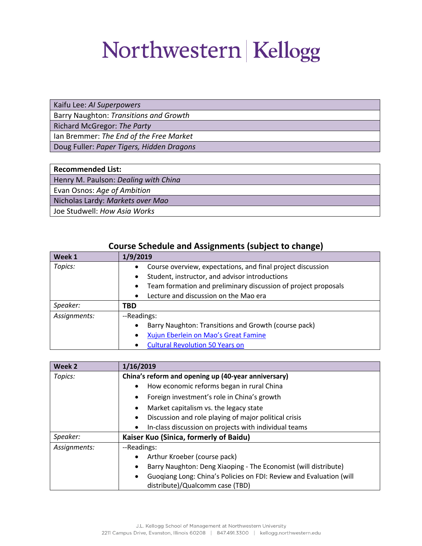Kaifu Lee: *AI Superpowers*

Barry Naughton: *Transitions and Growth*

Richard McGregor: *The Party*

Ian Bremmer: *The End of the Free Market*

Doug Fuller: *Paper Tigers, Hidden Dragons*

| <b>Recommended List:</b> |  |
|--------------------------|--|
|--------------------------|--|

Henry M. Paulson: *Dealing with China*

Evan Osnos: *Age of Ambition*

Nicholas Lardy: *Markets over Mao*

Joe Studwell: *How Asia Works*

| course sencuale and Assignments (subject to change) |                                                                             |
|-----------------------------------------------------|-----------------------------------------------------------------------------|
| Week 1                                              | 1/9/2019                                                                    |
| Topics:                                             | Course overview, expectations, and final project discussion<br>$\bullet$    |
|                                                     | Student, instructor, and advisor introductions<br>$\bullet$                 |
|                                                     | Team formation and preliminary discussion of project proposals<br>$\bullet$ |
|                                                     | Lecture and discussion on the Mao era<br>$\bullet$                          |
| Speaker:                                            | TBD                                                                         |
| Assignments:                                        | --Readings:                                                                 |
|                                                     | Barry Naughton: Transitions and Growth (course pack)<br>$\bullet$           |
|                                                     | Xujun Eberlein on Mao's Great Famine<br>$\bullet$                           |
|                                                     | <b>Cultural Revolution 50 Years on</b><br>$\bullet$                         |

### **Course Schedule and Assignments (subject to change)**

| Week 2       | 1/16/2019                                                                        |
|--------------|----------------------------------------------------------------------------------|
| Topics:      | China's reform and opening up (40-year anniversary)                              |
|              | How economic reforms began in rural China<br>$\bullet$                           |
|              | Foreign investment's role in China's growth<br>٠                                 |
|              | Market capitalism vs. the legacy state<br>$\bullet$                              |
|              | Discussion and role playing of major political crisis<br>$\bullet$               |
|              | In-class discussion on projects with individual teams                            |
| Speaker:     | Kaiser Kuo (Sinica, formerly of Baidu)                                           |
| Assignments: | --Readings:                                                                      |
|              | Arthur Kroeber (course pack)<br>$\bullet$                                        |
|              | Barry Naughton: Deng Xiaoping - The Economist (will distribute)                  |
|              | Guogiang Long: China's Policies on FDI: Review and Evaluation (will<br>$\bullet$ |
|              | distribute)/Qualcomm case (TBD)                                                  |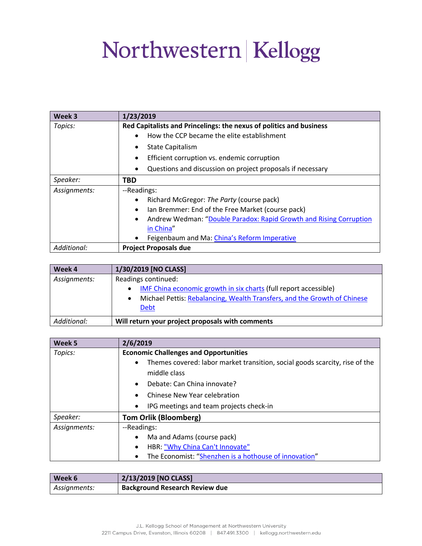| Week 3       | 1/23/2019                                                                       |
|--------------|---------------------------------------------------------------------------------|
| Topics:      | Red Capitalists and Princelings: the nexus of politics and business             |
|              | How the CCP became the elite establishment<br>$\bullet$                         |
|              | <b>State Capitalism</b><br>٠                                                    |
|              | Efficient corruption vs. endemic corruption<br>$\bullet$                        |
|              | Questions and discussion on project proposals if necessary                      |
| Speaker:     | TBD                                                                             |
| Assignments: | --Readings:                                                                     |
|              | Richard McGregor: The Party (course pack)<br>$\bullet$                          |
|              | Ian Bremmer: End of the Free Market (course pack)<br>$\bullet$                  |
|              | Andrew Wedman: "Double Paradox: Rapid Growth and Rising Corruption<br>$\bullet$ |
|              | in China"                                                                       |
|              | Feigenbaum and Ma: China's Reform Imperative                                    |
| Additional:  | <b>Project Proposals due</b>                                                    |

| Week 4       | 1/30/2019 [NO CLASS]                                                                                                                                                               |
|--------------|------------------------------------------------------------------------------------------------------------------------------------------------------------------------------------|
| Assignments: | Readings continued:<br>IMF China economic growth in six charts (full report accessible)<br>Michael Pettis: Rebalancing, Wealth Transfers, and the Growth of Chinese<br><b>Debt</b> |
| Additional:  | Will return your project proposals with comments                                                                                                                                   |

| Week 5       | 2/6/2019                                                                                 |
|--------------|------------------------------------------------------------------------------------------|
| Topics:      | <b>Economic Challenges and Opportunities</b>                                             |
|              | Themes covered: labor market transition, social goods scarcity, rise of the<br>$\bullet$ |
|              | middle class                                                                             |
|              | Debate: Can China innovate?<br>$\bullet$                                                 |
|              | Chinese New Year celebration<br>$\bullet$                                                |
|              | IPG meetings and team projects check-in<br>$\bullet$                                     |
| Speaker:     | <b>Tom Orlik (Bloomberg)</b>                                                             |
| Assignments: | --Readings:                                                                              |
|              | Ma and Adams (course pack)<br>$\bullet$                                                  |
|              | HBR: "Why China Can't Innovate"<br>$\bullet$                                             |
|              | The Economist: "Shenzhen is a hothouse of innovation"<br>$\bullet$                       |

| Week 6       | 2/13/2019 [NO CLASS]                  |
|--------------|---------------------------------------|
| Assignments: | <b>Background Research Review due</b> |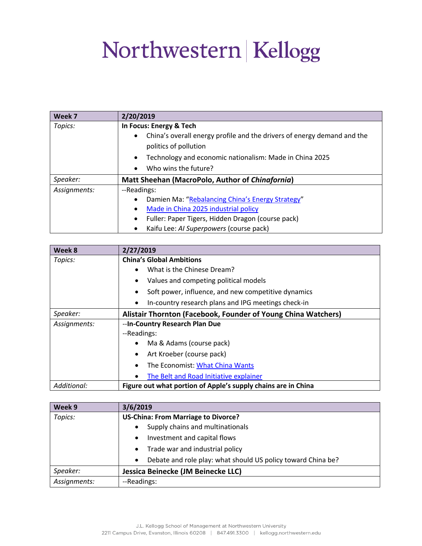| Week 7       | 2/20/2019                                                                                                     |
|--------------|---------------------------------------------------------------------------------------------------------------|
| Topics:      | In Focus: Energy & Tech                                                                                       |
|              | China's overall energy profile and the drivers of energy demand and the<br>$\bullet$<br>politics of pollution |
|              |                                                                                                               |
|              | Technology and economic nationalism: Made in China 2025<br>$\bullet$                                          |
|              | Who wins the future?<br>$\bullet$                                                                             |
| Speaker:     | Matt Sheehan (MacroPolo, Author of Chinafornia)                                                               |
| Assignments: | --Readings:                                                                                                   |
|              | Damien Ma: "Rebalancing China's Energy Strategy"<br>$\bullet$                                                 |
|              | Made in China 2025 industrial policy<br>$\bullet$                                                             |
|              | Fuller: Paper Tigers, Hidden Dragon (course pack)<br>$\bullet$                                                |
|              | Kaifu Lee: AI Superpowers (course pack)<br>$\bullet$                                                          |

| Week 8       | 2/27/2019                                                        |
|--------------|------------------------------------------------------------------|
| Topics:      | <b>China's Global Ambitions</b>                                  |
|              | What is the Chinese Dream?                                       |
|              | Values and competing political models<br>$\bullet$               |
|              | Soft power, influence, and new competitive dynamics<br>٠         |
|              | In-country research plans and IPG meetings check-in<br>$\bullet$ |
| Speaker:     | Alistair Thornton (Facebook, Founder of Young China Watchers)    |
| Assignments: | --In-Country Research Plan Due                                   |
|              | --Readings:                                                      |
|              | Ma & Adams (course pack)<br>$\bullet$                            |
|              | Art Kroeber (course pack)<br>$\bullet$                           |
|              | The Economist: What China Wants<br>$\bullet$                     |
|              | The Belt and Road Initiative explainer                           |
| Additional:  | Figure out what portion of Apple's supply chains are in China    |

| Week 9       | 3/6/2019                                                                  |
|--------------|---------------------------------------------------------------------------|
| Topics:      | <b>US-China: From Marriage to Divorce?</b>                                |
|              | Supply chains and multinationals<br>$\bullet$                             |
|              | Investment and capital flows<br>$\bullet$                                 |
|              | Trade war and industrial policy<br>$\bullet$                              |
|              | Debate and role play: what should US policy toward China be?<br>$\bullet$ |
| Speaker:     | Jessica Beinecke (JM Beinecke LLC)                                        |
| Assignments: | --Readings:                                                               |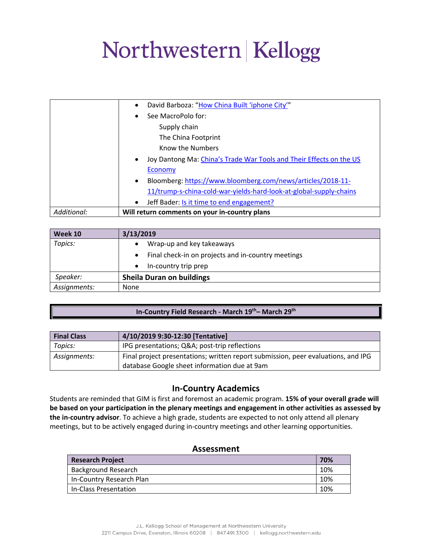|             | David Barboza: "How China Built 'iphone City'"<br>$\bullet$                      |
|-------------|----------------------------------------------------------------------------------|
|             | See MacroPolo for:<br>$\bullet$                                                  |
|             | Supply chain                                                                     |
|             | The China Footprint                                                              |
|             | Know the Numbers                                                                 |
|             | Joy Dantong Ma: China's Trade War Tools and Their Effects on the US<br>$\bullet$ |
|             | Economy                                                                          |
|             | Bloomberg: https://www.bloomberg.com/news/articles/2018-11-<br>$\bullet$         |
|             | 11/trump-s-china-cold-war-yields-hard-look-at-global-supply-chains               |
|             | Jeff Bader: Is it time to end engagement?<br>$\bullet$                           |
| Additional: | Will return comments on your in-country plans                                    |

| Week 10      | 3/13/2019                                                       |
|--------------|-----------------------------------------------------------------|
| Topics:      | Wrap-up and key takeaways                                       |
|              | Final check-in on projects and in-country meetings<br>$\bullet$ |
|              | In-country trip prep                                            |
| Speaker:     | <b>Sheila Duran on buildings</b>                                |
| Assignments: | None                                                            |

#### **In-Country Field Research - March 19th– March 29th**

| <b>Final Class</b> | 4/10/2019 9:30-12:30 [Tentative]                                                                                                  |
|--------------------|-----------------------------------------------------------------------------------------------------------------------------------|
| Topics:            | IPG presentations; Q&A post-trip reflections                                                                                      |
| Assignments:       | Final project presentations; written report submission, peer evaluations, and IPG<br>database Google sheet information due at 9am |

### **In-Country Academics**

Students are reminded that GIM is first and foremost an academic program. **15% of your overall grade will be based on your participation in the plenary meetings and engagement in other activities as assessed by the in-country advisor**. To achieve a high grade, students are expected to not only attend all plenary meetings, but to be actively engaged during in-country meetings and other learning opportunities.

#### **Assessment**

| <b>Research Project</b>    |  |
|----------------------------|--|
| <b>Background Research</b> |  |
| In-Country Research Plan   |  |
| In-Class Presentation      |  |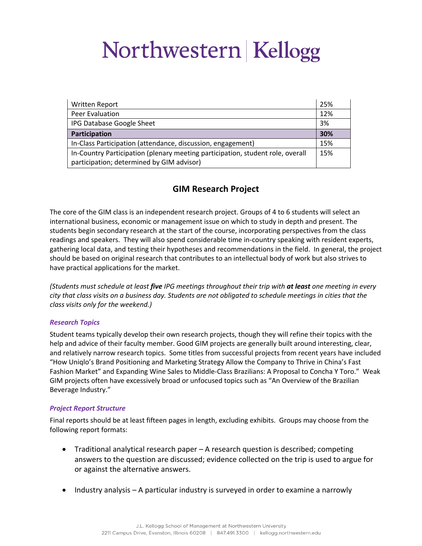| Written Report                                                                 | 25% |
|--------------------------------------------------------------------------------|-----|
| Peer Evaluation                                                                |     |
| IPG Database Google Sheet                                                      |     |
| Participation                                                                  |     |
| In-Class Participation (attendance, discussion, engagement)                    |     |
| In-Country Participation (plenary meeting participation, student role, overall |     |
| participation; determined by GIM advisor)                                      |     |

### **GIM Research Project**

The core of the GIM class is an independent research project. Groups of 4 to 6 students will select an international business, economic or management issue on which to study in depth and present. The students begin secondary research at the start of the course, incorporating perspectives from the class readings and speakers. They will also spend considerable time in-country speaking with resident experts, gathering local data, and testing their hypotheses and recommendations in the field. In general, the project should be based on original research that contributes to an intellectual body of work but also strives to have practical applications for the market.

*(Students must schedule at least five IPG meetings throughout their trip with at least one meeting in every city that class visits on a business day. Students are not obligated to schedule meetings in cities that the class visits only for the weekend.)* 

#### *Research Topics*

Student teams typically develop their own research projects, though they will refine their topics with the help and advice of their faculty member. Good GIM projects are generally built around interesting, clear, and relatively narrow research topics. Some titles from successful projects from recent years have included "How Uniqlo's Brand Positioning and Marketing Strategy Allow the Company to Thrive in China's Fast Fashion Market" and Expanding Wine Sales to Middle-Class Brazilians: A Proposal to Concha Y Toro." Weak GIM projects often have excessively broad or unfocused topics such as "An Overview of the Brazilian Beverage Industry."

#### *Project Report Structure*

Final reports should be at least fifteen pages in length, excluding exhibits. Groups may choose from the following report formats:

- Traditional analytical research paper A research question is described; competing answers to the question are discussed; evidence collected on the trip is used to argue for or against the alternative answers.
- Industry analysis A particular industry is surveyed in order to examine a narrowly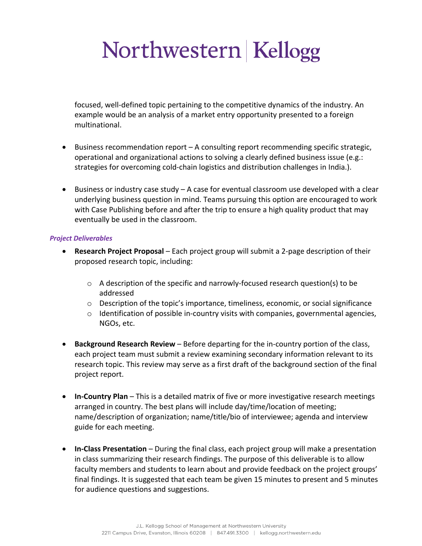focused, well-defined topic pertaining to the competitive dynamics of the industry. An example would be an analysis of a market entry opportunity presented to a foreign multinational.

- Business recommendation report A consulting report recommending specific strategic, operational and organizational actions to solving a clearly defined business issue (e.g.: strategies for overcoming cold-chain logistics and distribution challenges in India.).
- Business or industry case study A case for eventual classroom use developed with a clear underlying business question in mind. Teams pursuing this option are encouraged to work with Case Publishing before and after the trip to ensure a high quality product that may eventually be used in the classroom.

#### *Project Deliverables*

- **Research Project Proposal** Each project group will submit a 2-page description of their proposed research topic, including:
	- $\circ$  A description of the specific and narrowly-focused research question(s) to be addressed
	- o Description of the topic's importance, timeliness, economic, or social significance
	- $\circ$  Identification of possible in-country visits with companies, governmental agencies, NGOs, etc.
- **Background Research Review**  Before departing for the in-country portion of the class, each project team must submit a review examining secondary information relevant to its research topic. This review may serve as a first draft of the background section of the final project report.
- **In-Country Plan**  This is a detailed matrix of five or more investigative research meetings arranged in country. The best plans will include day/time/location of meeting; name/description of organization; name/title/bio of interviewee; agenda and interview guide for each meeting.
- **In-Class Presentation**  During the final class, each project group will make a presentation in class summarizing their research findings. The purpose of this deliverable is to allow faculty members and students to learn about and provide feedback on the project groups' final findings. It is suggested that each team be given 15 minutes to present and 5 minutes for audience questions and suggestions.